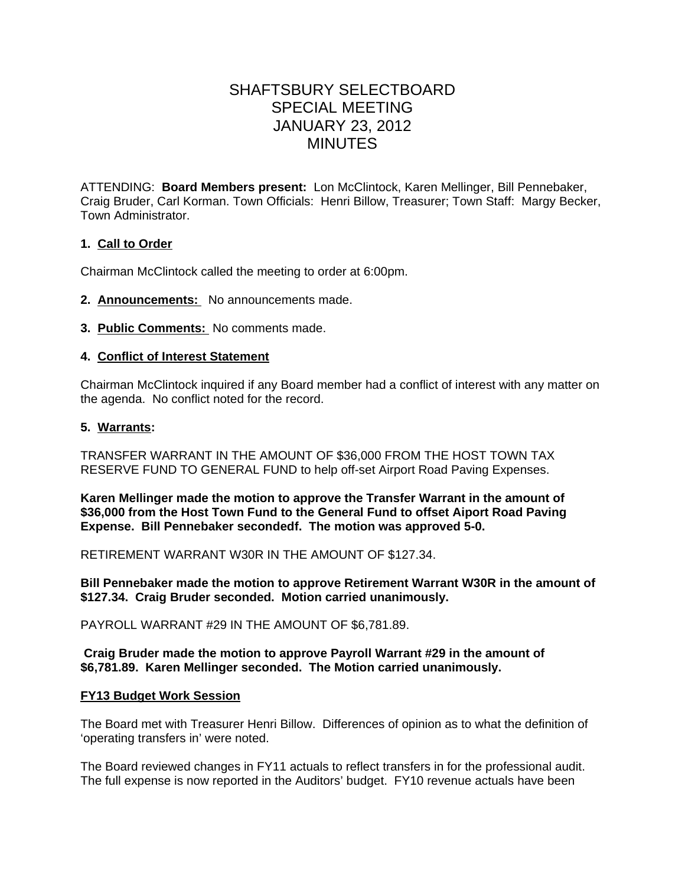# SHAFTSBURY SELECTBOARD SPECIAL MEETING JANUARY 23, 2012 MINUTES

ATTENDING: **Board Members present:** Lon McClintock, Karen Mellinger, Bill Pennebaker, Craig Bruder, Carl Korman. Town Officials: Henri Billow, Treasurer; Town Staff: Margy Becker, Town Administrator.

## **1. Call to Order**

Chairman McClintock called the meeting to order at 6:00pm.

- **2. Announcements:** No announcements made.
- **3. Public Comments:** No comments made.

## **4. Conflict of Interest Statement**

Chairman McClintock inquired if any Board member had a conflict of interest with any matter on the agenda. No conflict noted for the record.

## **5. Warrants:**

TRANSFER WARRANT IN THE AMOUNT OF \$36,000 FROM THE HOST TOWN TAX RESERVE FUND TO GENERAL FUND to help off-set Airport Road Paving Expenses.

**Karen Mellinger made the motion to approve the Transfer Warrant in the amount of \$36,000 from the Host Town Fund to the General Fund to offset Aiport Road Paving Expense. Bill Pennebaker secondedf. The motion was approved 5-0.**

RETIREMENT WARRANT W30R IN THE AMOUNT OF \$127.34.

**Bill Pennebaker made the motion to approve Retirement Warrant W30R in the amount of \$127.34. Craig Bruder seconded. Motion carried unanimously.**

PAYROLL WARRANT #29 IN THE AMOUNT OF \$6,781.89.

#### **Craig Bruder made the motion to approve Payroll Warrant #29 in the amount of \$6,781.89. Karen Mellinger seconded. The Motion carried unanimously.**

#### **FY13 Budget Work Session**

The Board met with Treasurer Henri Billow. Differences of opinion as to what the definition of 'operating transfers in' were noted.

The Board reviewed changes in FY11 actuals to reflect transfers in for the professional audit. The full expense is now reported in the Auditors' budget. FY10 revenue actuals have been